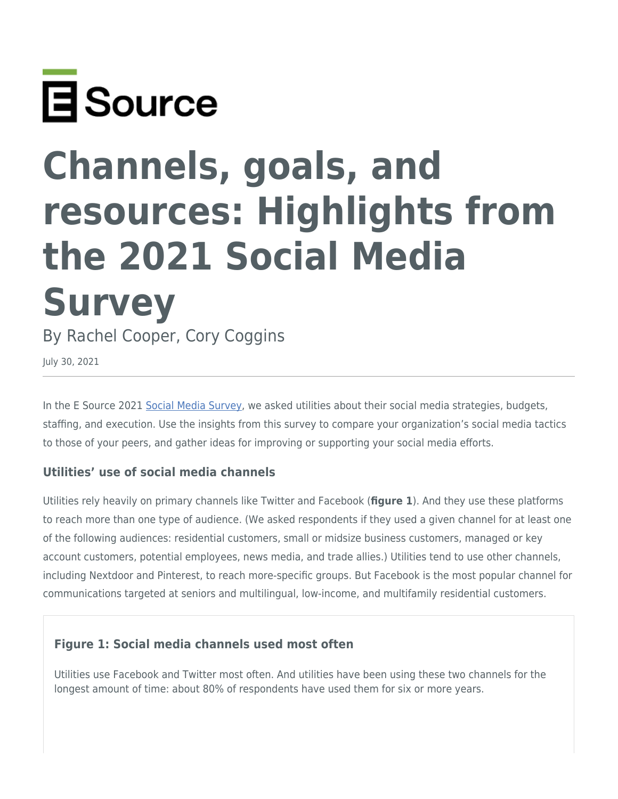

# **Channels, goals, and resources: Highlights from the 2021 Social Media Survey**

By Rachel Cooper, Cory Coggins

July 30, 2021

In the E Source 2021 [Social Media Survey,](https://www.esource.com/social-media-survey) we asked utilities about their social media strategies, budgets, staffing, and execution. Use the insights from this survey to compare your organization's social media tactics to those of your peers, and gather ideas for improving or supporting your social media efforts.

#### **Utilities' use of social media channels**

Utilities rely heavily on primary channels like Twitter and Facebook (**figure 1**). And they use these platforms to reach more than one type of audience. (We asked respondents if they used a given channel for at least one of the following audiences: residential customers, small or midsize business customers, managed or key account customers, potential employees, news media, and trade allies.) Utilities tend to use other channels, including Nextdoor and Pinterest, to reach more-specific groups. But Facebook is the most popular channel for communications targeted at seniors and multilingual, low-income, and multifamily residential customers.

## **Figure 1: Social media channels used most often**

Utilities use Facebook and Twitter most often. And utilities have been using these two channels for the longest amount of time: about 80% of respondents have used them for six or more years.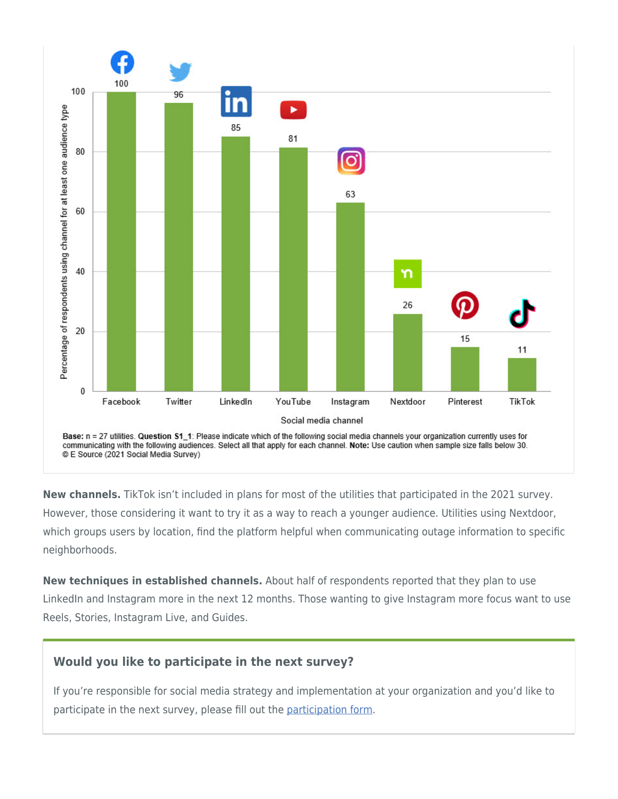

**New channels.** TikTok isn't included in plans for most of the utilities that participated in the 2021 survey. However, those considering it want to try it as a way to reach a younger audience. Utilities using Nextdoor, which groups users by location, find the platform helpful when communicating outage information to specific neighborhoods.

**New techniques in established channels.** About half of respondents reported that they plan to use LinkedIn and Instagram more in the next 12 months. Those wanting to give Instagram more focus want to use Reels, Stories, Instagram Live, and Guides.

## **Would you like to participate in the next survey?**

If you're responsible for social media strategy and implementation at your organization and you'd like to participate in the next survey, please fill out the [participation form](https://www.esource.com/social-media-survey#participation).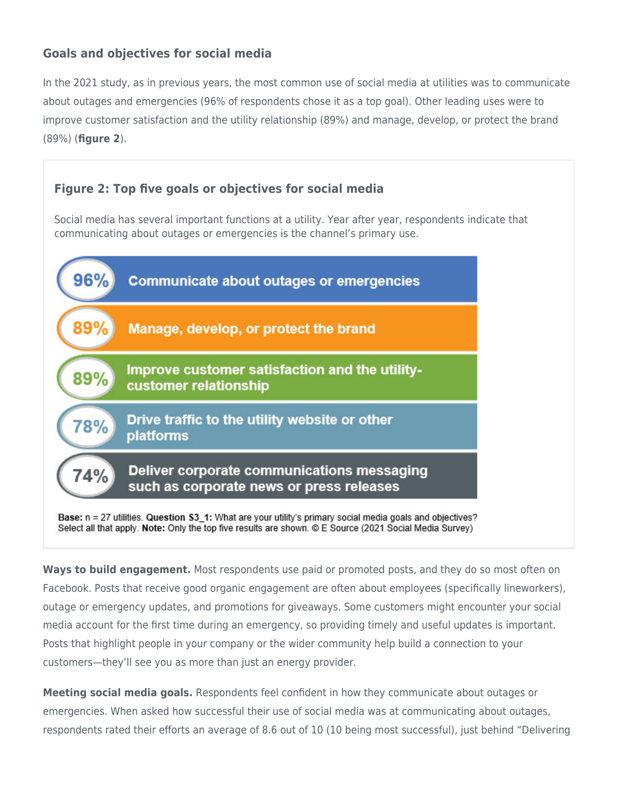# **Goals and objectives for social media**

In the 2021 study, as in previous years, the most common use of social media at utilities was to communicate about outages and emergencies (96% of respondents chose it as a top goal). Other leading uses were to improve customer satisfaction and the utility relationship (89%) and manage, develop, or protect the brand (89%) (**figure 2**).

## **Figure 2: Top five goals or objectives for social media**

Social media has several important functions at a utility. Year after year, respondents indicate that communicating about outages or emergencies is the channel's primary use.



**Ways to build engagement.** Most respondents use paid or promoted posts, and they do so most often on Facebook. Posts that receive good organic engagement are often about employees (specifically lineworkers), outage or emergency updates, and promotions for giveaways. Some customers might encounter your social media account for the first time during an emergency, so providing timely and useful updates is important. Posts that highlight people in your company or the wider community help build a connection to your customers—they'll see you as more than just an energy provider.

**Meeting social media goals.** Respondents feel confident in how they communicate about outages or emergencies. When asked how successful their use of social media was at communicating about outages, respondents rated their efforts an average of 8.6 out of 10 (10 being most successful), just behind "Delivering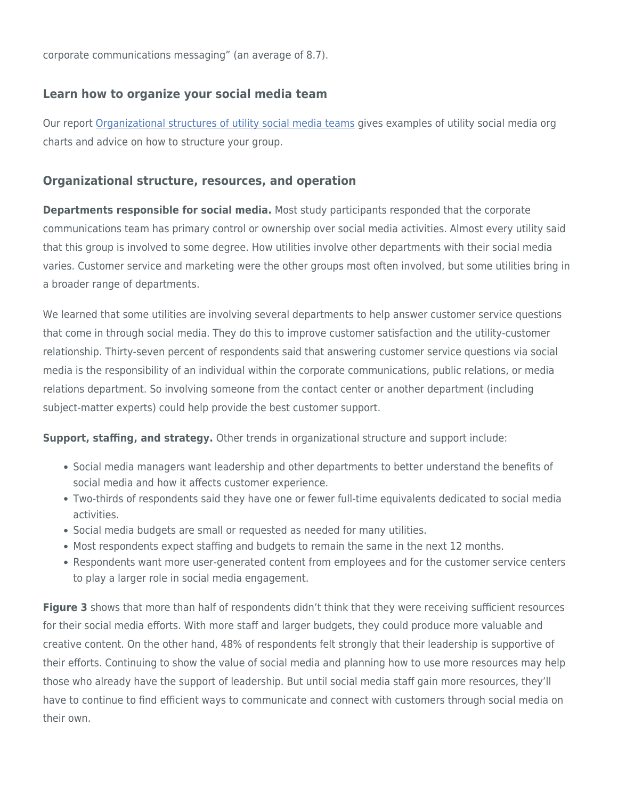corporate communications messaging" (an average of 8.7).

## **Learn how to organize your social media team**

Our report [Organizational structures of utility social media teams](https://www.esource.com/126191azvk/organizational-structures-utility-social-media-teams) gives examples of utility social media org charts and advice on how to structure your group.

#### **Organizational structure, resources, and operation**

**Departments responsible for social media.** Most study participants responded that the corporate communications team has primary control or ownership over social media activities. Almost every utility said that this group is involved to some degree. How utilities involve other departments with their social media varies. Customer service and marketing were the other groups most often involved, but some utilities bring in a broader range of departments.

We learned that some utilities are involving several departments to help answer customer service questions that come in through social media. They do this to improve customer satisfaction and the utility-customer relationship. Thirty-seven percent of respondents said that answering customer service questions via social media is the responsibility of an individual within the corporate communications, public relations, or media relations department. So involving someone from the contact center or another department (including subject-matter experts) could help provide the best customer support.

**Support, staffing, and strategy.** Other trends in organizational structure and support include:

- Social media managers want leadership and other departments to better understand the benefits of social media and how it affects customer experience.
- Two-thirds of respondents said they have one or fewer full-time equivalents dedicated to social media activities.
- Social media budgets are small or requested as needed for many utilities.
- Most respondents expect staffing and budgets to remain the same in the next 12 months.
- Respondents want more user-generated content from employees and for the customer service centers to play a larger role in social media engagement.

**Figure 3** shows that more than half of respondents didn't think that they were receiving sufficient resources for their social media efforts. With more staff and larger budgets, they could produce more valuable and creative content. On the other hand, 48% of respondents felt strongly that their leadership is supportive of their efforts. Continuing to show the value of social media and planning how to use more resources may help those who already have the support of leadership. But until social media staff gain more resources, they'll have to continue to find efficient ways to communicate and connect with customers through social media on their own.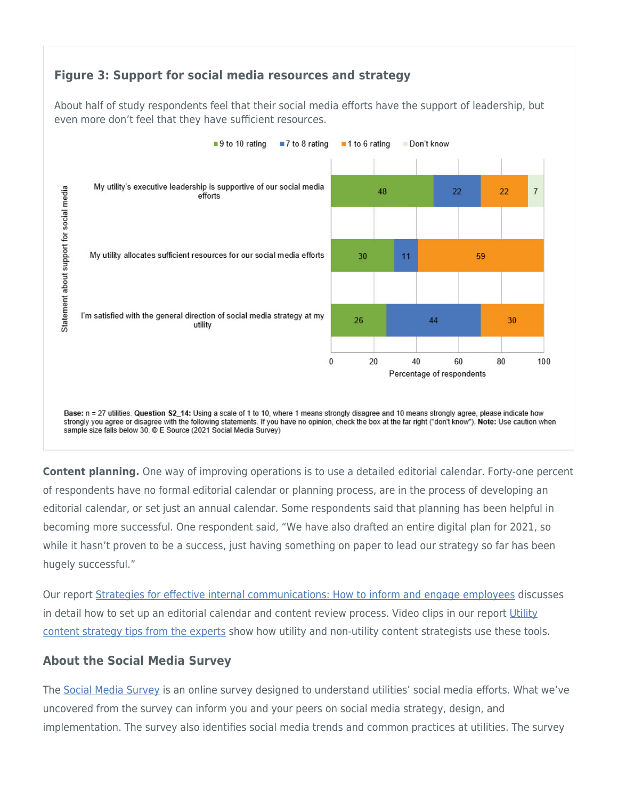## **Figure 3: Support for social media resources and strategy**

About half of study respondents feel that their social media efforts have the support of leadership, but even more don't feel that they have sufficient resources.



**Content planning.** One way of improving operations is to use a detailed editorial calendar. Forty-one percent of respondents have no formal editorial calendar or planning process, are in the process of developing an editorial calendar, or set just an annual calendar. Some respondents said that planning has been helpful in becoming more successful. One respondent said, "We have also drafted an entire digital plan for 2021, so while it hasn't proven to be a success, just having something on paper to lead our strategy so far has been hugely successful."

Our report [Strategies for effective internal communications: How to inform and engage employees](https://www.esource.com/com-1700010-001/strategies-effective-internal-communications-how-inform-and-engage-employees) discusses in detail how to set up an editorial calendar and content review process. Video clips in our report [Utility](https://www.esource.com/426191fjcd/storytelling-tips-experts) [content strategy tips from the experts](https://www.esource.com/426191fjcd/storytelling-tips-experts) show how utility and non-utility content strategists use these tools.

## **About the Social Media Survey**

The [Social Media Survey](https://www.esource.com/social-media-survey) is an online survey designed to understand utilities' social media efforts. What we've uncovered from the survey can inform you and your peers on social media strategy, design, and implementation. The survey also identifies social media trends and common practices at utilities. The survey